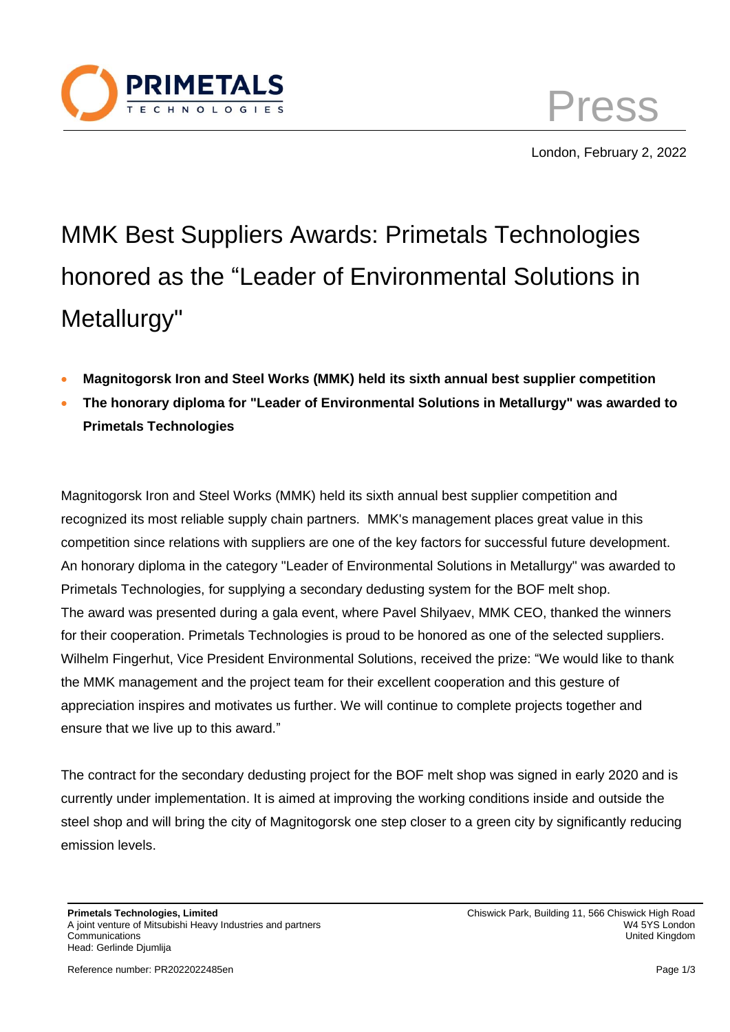

Press London, February 2, 2022

## MMK Best Suppliers Awards: Primetals Technologies honored as the "Leader of Environmental Solutions in Metallurgy"

- **Magnitogorsk Iron and Steel Works (MMK) held its sixth annual best supplier competition**
- **The honorary diploma for "Leader of Environmental Solutions in Metallurgy" was awarded to Primetals Technologies**

Magnitogorsk Iron and Steel Works (MMK) held its sixth annual best supplier competition and recognized its most reliable supply chain partners. MMK's management places great value in this competition since relations with suppliers are one of the key factors for successful future development. An honorary diploma in the category "Leader of Environmental Solutions in Metallurgy" was awarded to Primetals Technologies, for supplying a secondary dedusting system for the BOF melt shop. The award was presented during a gala event, where Pavel Shilyaev, MMK CEO, thanked the winners for their cooperation. Primetals Technologies is proud to be honored as one of the selected suppliers. Wilhelm Fingerhut, Vice President Environmental Solutions, received the prize: "We would like to thank the MMK management and the project team for their excellent cooperation and this gesture of appreciation inspires and motivates us further. We will continue to complete projects together and ensure that we live up to this award."

The contract for the secondary dedusting project for the BOF melt shop was signed in early 2020 and is currently under implementation. It is aimed at improving the working conditions inside and outside the steel shop and will bring the city of Magnitogorsk one step closer to a green city by significantly reducing emission levels.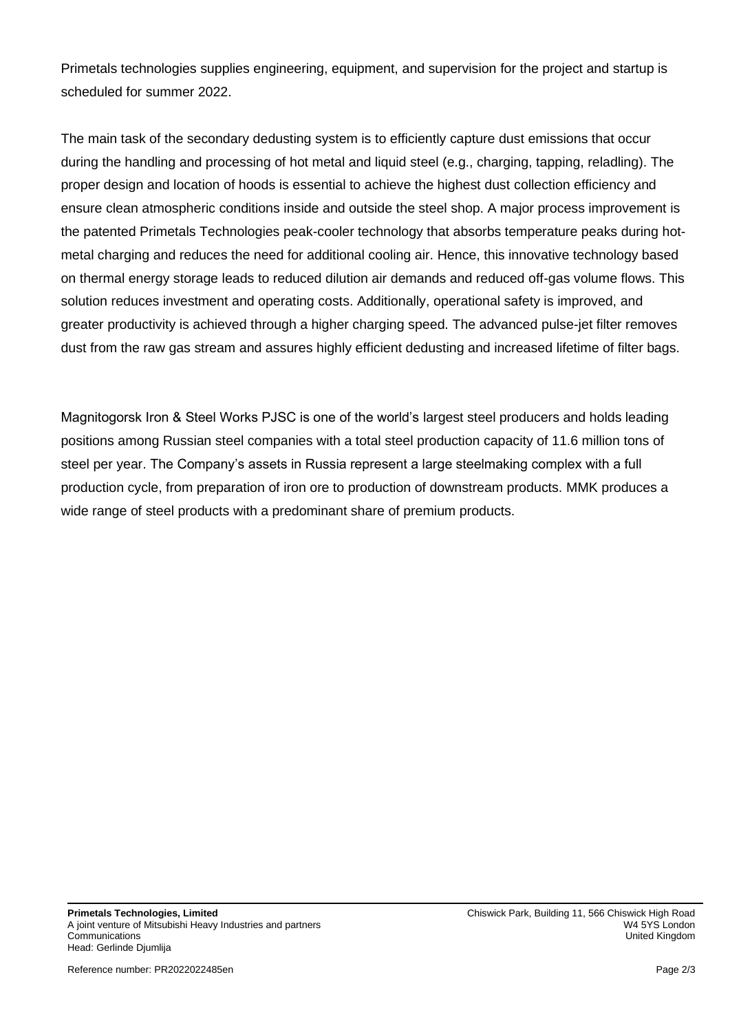Primetals technologies supplies engineering, equipment, and supervision for the project and startup is scheduled for summer 2022.

The main task of the secondary dedusting system is to efficiently capture dust emissions that occur during the handling and processing of hot metal and liquid steel (e.g., charging, tapping, reladling). The proper design and location of hoods is essential to achieve the highest dust collection efficiency and ensure clean atmospheric conditions inside and outside the steel shop. A major process improvement is the patented Primetals Technologies peak-cooler technology that absorbs temperature peaks during hotmetal charging and reduces the need for additional cooling air. Hence, this innovative technology based on thermal energy storage leads to reduced dilution air demands and reduced off-gas volume flows. This solution reduces investment and operating costs. Additionally, operational safety is improved, and greater productivity is achieved through a higher charging speed. The advanced pulse-jet filter removes dust from the raw gas stream and assures highly efficient dedusting and increased lifetime of filter bags.

Magnitogorsk Iron & Steel Works PJSC is one of the world's largest steel producers and holds leading positions among Russian steel companies with a total steel production capacity of 11.6 million tons of steel per year. The Company's assets in Russia represent a large steelmaking complex with a full production cycle, from preparation of iron ore to production of downstream products. MMK produces a wide range of steel products with a predominant share of premium products.